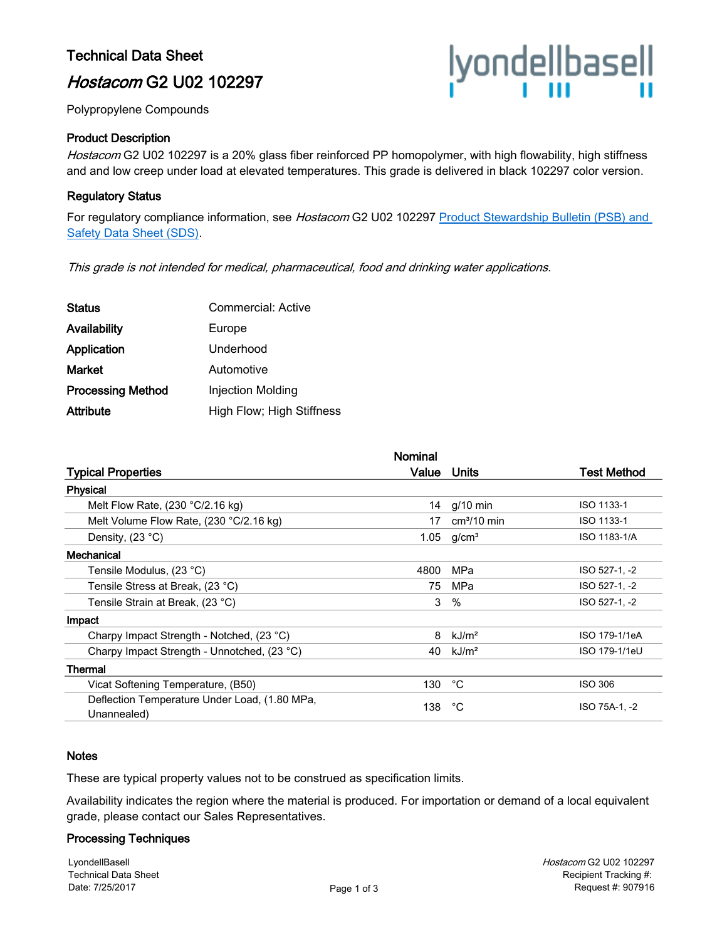## Technical Data Sheet

# Hostacom G2 U02 102297

Polypropylene Compounds

## Product Description

Hostacom G2 U02 102297 is a 20% glass fiber reinforced PP homopolymer, with high flowability, high stiffness and and low creep under load at elevated temperatures. This grade is delivered in black 102297 color version.

## Regulatory Status

For regulatory compliance information, see Hostacom G2 U02 102297 Product Stewardship Bulletin (PSB) and [Safety Data Sheet \(SDS\).](https://productsafety.lyondellbasell.com/ByProductID/5e1f664a-6119-4d3f-a35a-9458f0226c6b)

This grade is not intended for medical, pharmaceutical, food and drinking water applications.

| Commercial: Active        |
|---------------------------|
| Europe                    |
| Underhood                 |
| Automotive                |
| Injection Molding         |
| High Flow; High Stiffness |
|                           |

|                                                              | Nominal |                   |                |
|--------------------------------------------------------------|---------|-------------------|----------------|
| <b>Typical Properties</b>                                    | Value   | Units             | Test Method    |
| Physical                                                     |         |                   |                |
| Melt Flow Rate, $(230 °C/2.16 kg)$                           | 14      | $q/10$ min        | ISO 1133-1     |
| Melt Volume Flow Rate, (230 °C/2.16 kg)                      | 17      | $cm3/10$ min      | ISO 1133-1     |
| Density, $(23 °C)$                                           | 1.05    | q/cm <sup>3</sup> | ISO 1183-1/A   |
| Mechanical                                                   |         |                   |                |
| Tensile Modulus, (23 °C)                                     | 4800    | MPa               | ISO 527-1, -2  |
| Tensile Stress at Break, (23 °C)                             | 75      | MPa               | ISO 527-1, -2  |
| Tensile Strain at Break, (23 °C)                             | 3       | $\%$              | ISO 527-1, -2  |
| Impact                                                       |         |                   |                |
| Charpy Impact Strength - Notched, (23 °C)                    | 8       | kJ/m <sup>2</sup> | ISO 179-1/1eA  |
| Charpy Impact Strength - Unnotched, (23 °C)                  | 40      | kJ/m <sup>2</sup> | ISO 179-1/1eU  |
| Thermal                                                      |         |                   |                |
| Vicat Softening Temperature, (B50)                           | 130     | °C                | <b>ISO 306</b> |
| Deflection Temperature Under Load, (1.80 MPa,<br>Unannealed) | 138     | °C                | ISO 75A-1, -2  |

#### **Notes**

These are typical property values not to be construed as specification limits.

Availability indicates the region where the material is produced. For importation or demand of a local equivalent grade, please contact our Sales Representatives.

#### Processing Techniques

LyondellBasell Technical Data Sheet Date: 7/25/2017

|yonde||base||<br>|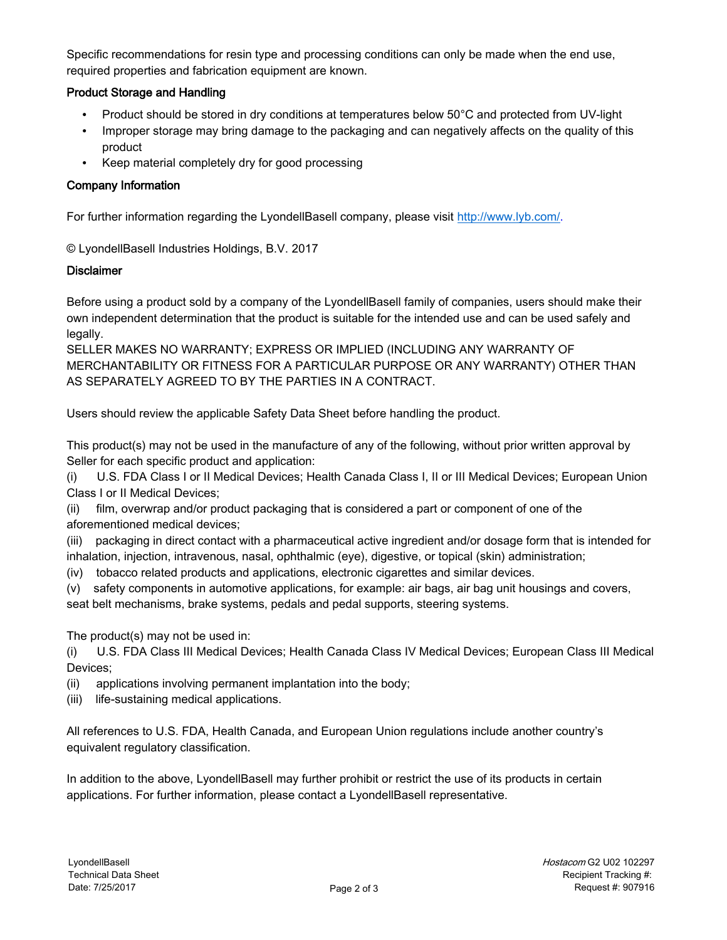Specific recommendations for resin type and processing conditions can only be made when the end use, required properties and fabrication equipment are known.

## Product Storage and Handling

- Product should be stored in dry conditions at temperatures below 50°C and protected from UV-light
- Improper storage may bring damage to the packaging and can negatively affects on the quality of this product
- Keep material completely dry for good processing

## Company Information

For further information regarding the LyondellBasell company, please visit [http://www.lyb.com/.](http://www.lyb.com/)

© LyondellBasell Industries Holdings, B.V. 2017

## **Disclaimer**

Before using a product sold by a company of the LyondellBasell family of companies, users should make their own independent determination that the product is suitable for the intended use and can be used safely and legally.

SELLER MAKES NO WARRANTY; EXPRESS OR IMPLIED (INCLUDING ANY WARRANTY OF MERCHANTABILITY OR FITNESS FOR A PARTICULAR PURPOSE OR ANY WARRANTY) OTHER THAN AS SEPARATELY AGREED TO BY THE PARTIES IN A CONTRACT.

Users should review the applicable Safety Data Sheet before handling the product.

This product(s) may not be used in the manufacture of any of the following, without prior written approval by Seller for each specific product and application:

(i) U.S. FDA Class I or II Medical Devices; Health Canada Class I, II or III Medical Devices; European Union Class I or II Medical Devices;

(ii) film, overwrap and/or product packaging that is considered a part or component of one of the aforementioned medical devices;

(iii) packaging in direct contact with a pharmaceutical active ingredient and/or dosage form that is intended for inhalation, injection, intravenous, nasal, ophthalmic (eye), digestive, or topical (skin) administration;

(iv) tobacco related products and applications, electronic cigarettes and similar devices.

(v) safety components in automotive applications, for example: air bags, air bag unit housings and covers, seat belt mechanisms, brake systems, pedals and pedal supports, steering systems.

The product(s) may not be used in:

(i) U.S. FDA Class III Medical Devices; Health Canada Class IV Medical Devices; European Class III Medical Devices;

- (ii) applications involving permanent implantation into the body;
- (iii) life-sustaining medical applications.

All references to U.S. FDA, Health Canada, and European Union regulations include another country's equivalent regulatory classification.

In addition to the above, LyondellBasell may further prohibit or restrict the use of its products in certain applications. For further information, please contact a LyondellBasell representative.